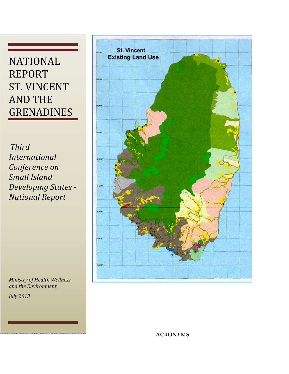## NATIONAL REPORT ST. VINCENT AND THE GRENADINES

Third International Conference on Small Island Developing States - National Report



Ministry of Health Wellness and the Environment

July 2013

**ACRONYMS**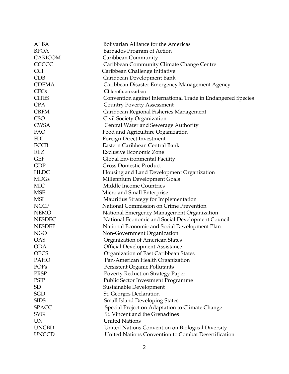| <b>ALBA</b>    | Bolivarian Alliance for the Americas                         |
|----------------|--------------------------------------------------------------|
| <b>BPOA</b>    | Barbados Program of Action                                   |
| <b>CARICOM</b> | Caribbean Community                                          |
| CCCCC          | Caribbean Community Climate Change Centre                    |
| <b>CCI</b>     | Caribbean Challenge Initiative                               |
| <b>CDB</b>     | Caribbean Development Bank                                   |
| <b>CDEMA</b>   | Caribbean Disaster Emergency Management Agency               |
| <b>CFCs</b>    | Chlorofluorocarbon                                           |
| <b>CITES</b>   | Convention against International Trade in Endangered Species |
| <b>CPA</b>     | <b>Country Poverty Assessment</b>                            |
| <b>CRFM</b>    | Caribbean Regional Fisheries Management                      |
| <b>CSO</b>     | Civil Society Organization                                   |
| <b>CWSA</b>    | Central Water and Sewerage Authority                         |
| FAO            | Food and Agriculture Organization                            |
| <b>FDI</b>     | Foreign Direct Investment                                    |
| <b>ECCB</b>    | Eastern Caribbean Central Bank                               |
| EEZ            | <b>Exclusive Economic Zone</b>                               |
| <b>GEF</b>     | Global Environmental Facility                                |
| <b>GDP</b>     | <b>Gross Domestic Product</b>                                |
| <b>HLDC</b>    | Housing and Land Development Organization                    |
| <b>MDGs</b>    | Millennium Development Goals                                 |
| <b>MIC</b>     | <b>Middle Income Countries</b>                               |
| <b>MSE</b>     | Micro and Small Enterprise                                   |
| <b>MSI</b>     | Mauritius Strategy for Implementation                        |
| <b>NCCP</b>    | National Commission on Crime Prevention                      |
| <b>NEMO</b>    | National Emergency Management Organization                   |
| <b>NESDEC</b>  | National Economic and Social Development Council             |
| <b>NESDEP</b>  | National Economic and Social Development Plan                |
| <b>NGO</b>     | Non-Government Organization                                  |
| <b>OAS</b>     | Organization of American States                              |
| <b>ODA</b>     | <b>Official Development Assistance</b>                       |
| <b>OECS</b>    | Organization of East Caribbean States                        |
| PAHO           | Pan-American Health Organization                             |
| POPs           | Persistent Organic Pollutants                                |
| <b>PRSP</b>    | <b>Poverty Reduction Strategy Paper</b>                      |
| <b>PSIP</b>    | <b>Public Sector Investment Programme</b>                    |
| <b>SD</b>      | Sustainable Development                                      |
| <b>SGD</b>     | St. Georges Declaration                                      |
| <b>SIDS</b>    | <b>Small Island Developing States</b>                        |
| <b>SPACC</b>   | Special Project on Adaptation to Climate Change              |
| <b>SVG</b>     | St. Vincent and the Grenadines                               |
| <b>UN</b>      | <b>United Nations</b>                                        |
| <b>UNCBD</b>   | United Nations Convention on Biological Diversity            |
| <b>UNCCD</b>   | United Nations Convention to Combat Desertification          |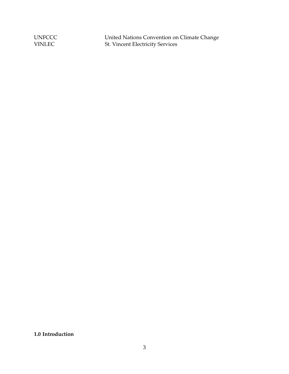UNFCCC United Nations Convention on Climate Change VINLEC St. Vincent Electricity Services

**1.0 Introduction**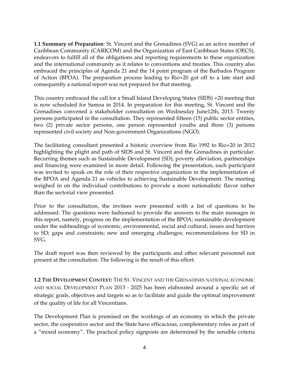**1.1 Summary of Preparation**: St. Vincent and the Grenadines (SVG) as an active member of Caribbean Community (CARICOM) and the Organization of East Caribbean States (OECS), endeavors to fulfill all of the obligations and reporting requirements to these organization and the international community as it relates to conventions and treaties. This country also embraced the principles of Agenda 21 and the 14 point program of the Barbados Program of Action (BPOA). The preparation process leading to Rio+20 got off to a late start and consequently a national report was not prepared for that meeting.

This country embraced the call for a Small Island Developing States (SIDS) +20 meeting that is now scheduled for Samoa in 2014. In preparation for this meeting, St. Vincent and the Grenadines convened a stakeholder consultation on Wednesday June12th, 2013. Twenty persons participated in the consultation. They represented fifteen (15) public sector entities, two (2) private sector persons, one person represented youths and three (3) persons represented civil society and Non-government Organizations (NGO).

The facilitating consultant presented a historic overview from Rio 1992 to Rio+20 in 2012 highlighting the plight and path of SIDS and St. Vincent and the Grenadines in particular. Recurring themes such as Sustainable Development (SD), poverty alleviation, partnerships and financing were examined in more detail. Following the presentation, each participant was invited to speak on the role of their respective organization in the implementation of the BPOA and Agenda 21 as vehicles to achieving Sustainable Development. The meeting weighed in on the individual contributions to provide a more nationalistic flavor rather than the sectorial view presented.

Prior to the consultation, the invitees were presented with a list of questions to be addressed. The questions were fashioned to provide the answers to the main messages in this report, namely, progress on the implementation of the BPOA; sustainable development under the subheadings of economic, environmental, social and cultural; issues and barriers to SD; gaps and constraints; new and emerging challenges; recommendations for SD in SVG.

The draft report was then reviewed by the participants and other relevant personnel not present at the consultation. The following is the result of this effort.

**1.2 THE DEVELOPMENT CONTEXT:** THE ST. VINCENT AND THE GRENADINES NATIONAL ECONOMIC AND SOCIAL DEVELOPMENT PLAN 2013 - 2025 has been elaborated around a specific set of strategic goals, objectives and targets so as to facilitate and guide the optimal improvement of the quality of life for all Vincentians.

The Development Plan is premised on the workings of an economy in which the private sector, the cooperative sector and the State have efficacious, complementary roles as part of a "mixed economy". The practical policy signposts are determined by the sensible criteria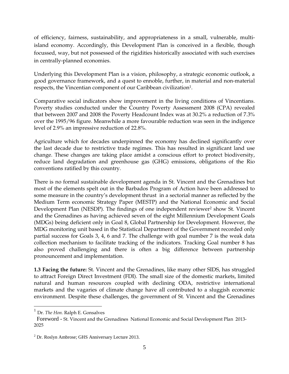of efficiency, fairness, sustainability, and appropriateness in a small, vulnerable, multiisland economy. Accordingly, this Development Plan is conceived in a flexible, though focussed, way, but not possessed of the rigidities historically associated with such exercises in centrally-planned economies.

Underlying this Development Plan is a vision, philosophy, a strategic economic outlook, a good governance framework, and a quest to ennoble, further, in material and non-material respects, the Vincentian component of our Caribbean civilization<sup>1</sup>.

Comparative social indicators show improvement in the living conditions of Vincentians. Poverty studies conducted under the Country Poverty Assessment 2008 (CPA) revealed that between 2007 and 2008 the Poverty Headcount Index was at 30.2% a reduction of 7.3% over the 1995/96 figure. Meanwhile a more favourable reduction was seen in the indigence level of 2.9% an impressive reduction of 22.8%.

Agriculture which for decades underpinned the economy has declined significantly over the last decade due to restrictive trade regimes. This has resulted in significant land use change. These changes are taking place amidst a conscious effort to protect biodiversity, reduce land degradation and greenhouse gas (GHG) emissions, obligations of the Rio conventions ratified by this country.

There is no formal sustainable development agenda in St. Vincent and the Grenadines but most of the elements spelt out in the Barbados Program of Action have been addressed to some measure in the country's development thrust in a sectorial manner as reflected by the Medium Term economic Strategy Paper (MESTP) and the National Economic and Social Development Plan (NESDP). The findings of one independent reviewer<sup>2</sup> show St. Vincent and the Grenadines as having achieved seven of the eight Millennium Development Goals (MDGs) being deficient only in Goal 8, Global Partnership for Development. However, the MDG monitoring unit based in the Statistical Department of the Government recorded only partial success for Goals 3, 4, 6 and 7. The challenge with goal number 7 is the weak data collection mechanism to facilitate tracking of the indicators. Tracking Goal number 8 has also proved challenging and there is often a big difference between partnership pronouncement and implementation.

**1.3 Facing the future:** St. Vincent and the Grenadines, like many other SIDS, has struggled to attract Foreign Direct Investment (FDI). The small size of the domestic markets, limited natural and human resources coupled with declining ODA, restrictive international markets and the vagaries of climate change have all contributed to a sluggish economic environment. Despite these challenges, the government of St. Vincent and the Grenadines

<u>.</u>

<sup>1</sup> Dr. *The Hon.* Ralph E. Gonsalves

Foreword - St. Vincent and the Grenadines National Economic and Social Development Plan 2013- 2025

<sup>&</sup>lt;sup>2</sup> Dr. Roslyn Ambrose; GHS Anniversary Lecture 2013.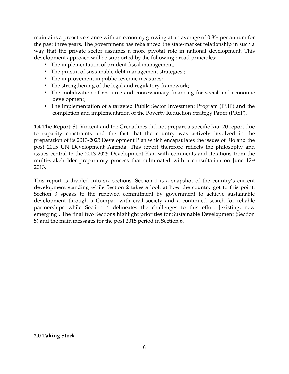maintains a proactive stance with an economy growing at an average of 0.8% per annum for the past three years. The government has rebalanced the state-market relationship in such a way that the private sector assumes a more pivotal role in national development. This development approach will be supported by the following broad principles:

- The implementation of prudent fiscal management;
- The pursuit of sustainable debt management strategies ;
- The improvement in public revenue measures;
- The strengthening of the legal and regulatory framework;
- The mobilization of resource and concessionary financing for social and economic development;
- The implementation of a targeted Public Sector Investment Program (PSIP) and the completion and implementation of the Poverty Reduction Strategy Paper (PRSP).

**1.4 The Report**: St. Vincent and the Grenadines did not prepare a specific Rio+20 report due to capacity constraints and the fact that the country was actively involved in the preparation of its 2013-2025 Development Plan which encapsulates the issues of Rio and the post 2015 UN Development Agenda. This report therefore reflects the philosophy and issues central to the 2013-2025 Development Plan with comments and iterations from the multi-stakeholder preparatory process that culminated with a consultation on June 12<sup>th</sup> 2013.

This report is divided into six sections. Section 1 is a snapshot of the country's current development standing while Section 2 takes a look at how the country got to this point. Section 3 speaks to the renewed commitment by government to achieve sustainable development through a Compaq with civil society and a continued search for reliable partnerships while Section 4 delineates the challenges to this effort [existing, new emerging]. The final two Sections highlight priorities for Sustainable Development (Section 5) and the main messages for the post 2015 period in Section 6.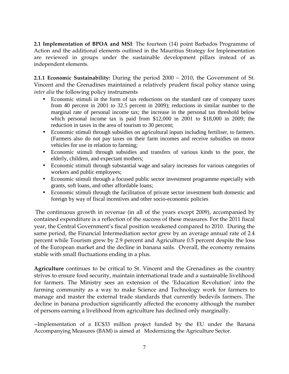**2.1 Implementation of BPOA and MSI**: The fourteen (14) point Barbados Programme of Action and the additional elements outlined in the Mauritius Strategy for Implementation are reviewed in groups under the sustainable development pillars instead of as independent elements.

**2.1.1 Economic Sustainability:** During the period 2000 – 2010, the Government of St. Vincent and the Grenadines maintained a relatively prudent fiscal policy stance using *inter alia* the following policy instruments

- Economic stimuli in the form of tax reductions on the standard rate of company taxes from 40 percent in 2001 to 32.5 percent in 2009); reductions in similar number to the marginal rate of personal income tax; the increase in the personal tax threshold below which personal income tax is paid from \$12,000 in 2001 to \$18,000 in 2009; the reduction in taxes in the area of tourism to 30 percent;
- Economic stimuli through subsidies on agricultural inputs including fertiliser, to farmers. (Farmers also do not pay taxes on their farm incomes and receive subsidies on motor vehicles for use in relation to farming;
- Economic stimuli through subsidies and transfers of various kinds to the poor, the elderly, children, and expectant mothers;
- Economic stimuli through substantial wage and salary increases for various categories of workers and public employees;
- Economic stimuli through a focused public sector investment programme especially with grants, soft loans, and other affordable loans;
- Economic stimuli through the facilitation of private sector investment both domestic and foreign by way of fiscal incentives and other socio-economic policies

 The continuous growth in revenue (in all of the years except 2009), accompanied by contained expenditure is a reflection of the success of these measures. For the 2011 fiscal year, the Central Government's fiscal position weakened compared to 2010. During the same period, the Financial Intermediation sector grew by an average annual rate of 2.4 percent while Tourism grew by 2.9 percent and Agriculture 0.5 percent despite the loss of the European market and the decline in banana sails. Overall, the economy remains stable with small fluctuations ending in a plus.

**Agriculture** continues to be critical to St. Vincent and the Grenadines as the country strives to ensure food security, maintain international trade and a sustainable livelihood for farmers. The Ministry sees an extension of the 'Education Revolution' into the farming community as a way to make Science and Technology work for farmers to manage and master the external trade standards that currently bedevils farmers. The decline in banana production significantly affected the economy although the number of persons earning a livelihood from agriculture has declined only marginally.

--Implementation of a EC\$33 million project funded by the EU under the Banana Accompanying Measures (BAM) is aimed at Modernizing the Agriculture Sector.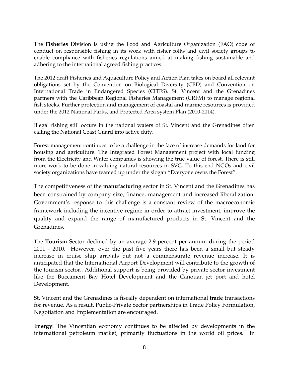The **Fisheries** Division is using the Food and Agriculture Organization (FAO) code of conduct on responsible fishing in its work with fisher folks and civil society groups to enable compliance with fisheries regulations aimed at making fishing sustainable and adhering to the international agreed fishing practices.

The 2012 draft Fisheries and Aquaculture Policy and Action Plan takes on board all relevant obligations set by the Convention on Biological Diversity (CBD) and Convention on International Trade in Endangered Species (CITES). St. Vincent and the Grenadines partners with the Caribbean Regional Fisheries Management (CRFM) to manage regional fish stocks. Further protection and management of coastal and marine resources is provided under the 2012 National Parks, and Protected Area system Plan (2010-2014).

Illegal fishing still occurs in the national waters of St. Vincent and the Grenadines often calling the National Coast Guard into active duty.

**Forest** management continues to be a challenge in the face of increase demands for land for housing and agriculture. The Integrated Forest Management project with local funding from the Electricity and Water companies is showing the true value of forest. There is still more work to be done in valuing natural resources in SVG. To this end NGOs and civil society organizations have teamed up under the slogan "Everyone owns the Forest".

The competitiveness of the **manufacturing** sector in St. Vincent and the Grenadines has been constrained by company size, finance, management and increased liberalization. Government's response to this challenge is a constant review of the macroeconomic framework including the incentive regime in order to attract investment, improve the quality and expand the range of manufactured products in St. Vincent and the Grenadines.

The **Tourism** Sector declined by an average 2.9 percent per annum during the period 2001 - 2010. However, over the past five years there has been a small but steady increase in cruise ship arrivals but not a commensurate revenue increase. It is anticipated that the International Airport Development will contribute to the growth of the tourism sector.. Additional support is being provided by private sector investment like the Buccament Bay Hotel Development and the Canouan jet port and hotel Development.

St. Vincent and the Grenadines is fiscally dependent on international **trade** transactions for revenue. As a result, Public-Private Sector partnerships in Trade Policy Formulation, Negotiation and Implementation are encouraged.

**Energy**: The Vincentian economy continues to be affected by developments in the international petroleum market, primarily fluctuations in the world oil prices. In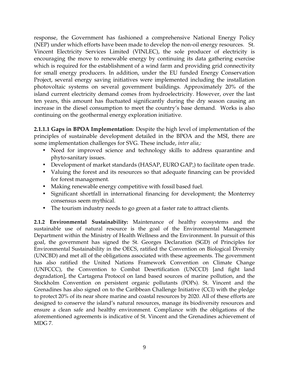response, the Government has fashioned a comprehensive National Energy Policy (NEP) under which efforts have been made to develop the non-oil energy resources. St. Vincent Electricity Services Limited (VINLEC), the sole producer of electricity is encouraging the move to renewable energy by continuing its data gathering exercise which is required for the establishment of a wind farm and providing grid connectivity for small energy producers. In addition, under the EU funded Energy Conservation Project, several energy saving initiatives were implemented including the installation photovoltaic systems on several government buildings. Approximately 20% of the island current electricity demand comes from hydroelectricity. However, over the last ten years, this amount has fluctuated significantly during the dry season causing an increase in the diesel consumption to meet the country's base demand. Works is also continuing on the geothermal energy exploration initiative.

**2.1.1.1 Gaps in BPOA Implementation**: Despite the high level of implementation of the principles of sustainable development detailed in the BPOA and the MSI, there are some implementation challenges for SVG. These include, *inter alia,:* 

- Need for improved science and technology skills to address quarantine and phyto-sanitary issues.
- Development of market standards (HASAP, EURO GAP,) to facilitate open trade.
- Valuing the forest and its resources so that adequate financing can be provided for forest management.
- Making renewable energy competitive with fossil based fuel.
- Significant shortfall in international financing for development; the Monterrey consensus seem mythical.
- The tourism industry needs to go green at a faster rate to attract clients.

**2.1.2 Environmental Sustainability:** Maintenance of healthy ecosystems and the sustainable use of natural resource is the goal of the Environmental Management Department within the Ministry of Health Wellness and the Environment. In pursuit of this goal, the government has signed the St. Georges Declaration (SGD) of Principles for Environmental Sustainability in the OECS, ratified the Convention on Biological Diversity (UNCBD) and met all of the obligations associated with these agreements. The government has also ratified the United Nations Framework Convention on Climate Change (UNFCCC), the Convention to Combat Desertification (UNCCD) [and fight land degradation], the Cartagena Protocol on land based sources of marine pollution, and the Stockholm Convention on persistent organic pollutants (POPs). St. Vincent and the Grenadines has also signed on to the Caribbean Challenge Initiative (CCI) with the pledge to protect 20% of its near shore marine and coastal resources by 2020. All of these efforts are designed to conserve the island's natural resources, manage its biodiversity resources and ensure a clean safe and healthy environment. Compliance with the obligations of the aforementioned agreements is indicative of St. Vincent and the Grenadines achievement of MDG 7.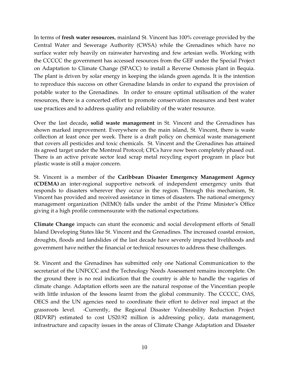In terms of **fresh water resources**, mainland St. Vincent has 100% coverage provided by the Central Water and Sewerage Authority (CWSA) while the Grenadines which have no surface water rely heavily on rainwater harvesting and few artesian wells. Working with the CCCCC the government has accessed resources from the GEF under the Special Project on Adaptation to Climate Change (SPACC) to install a Reverse Osmosis plant in Bequia. The plant is driven by solar energy in keeping the islands green agenda. It is the intention to reproduce this success on other Grenadine Islands in order to expand the provision of potable water to the Grenadines. In order to ensure optimal utilisation of the water resources, there is a concerted effort to promote conservation measures and best water use practices and to address quality and reliability of the water resource.

Over the last decade**, solid waste management** in St. Vincent and the Grenadines has shown marked improvement. Everywhere on the main island, St. Vincent, there is waste collection at least once per week. There is a draft policy on chemical waste management that covers all pesticides and toxic chemicals. St. Vincent and the Grenadines has attained its agreed target under the Montreal Protocol; CFCs have now been completely phased out. There is an active private sector lead scrap metal recycling export program in place but plastic waste is still a major concern.

St. Vincent is a member of the **Caribbean Disaster Emergency Management Agency (CDEMA)** an inter-regional supportive network of independent emergency units that responds to disasters wherever they occur in the region. Through this mechanism, St. Vincent has provided and received assistance in times of disasters. The national emergency management organization (NEMO) falls under the ambit of the Prime Minister's Office giving it a high profile commensurate with the national expectations.

**Climate Change** impacts can stunt the economic and social development efforts of Small Island Developing States like St. Vincent and the Grenadines. The increased coastal erosion, droughts, floods and landslides of the last decade have severely impacted livelihoods and government have neither the financial or technical resources to address these challenges.

St. Vincent and the Grenadines has submitted only one National Communication to the secretariat of the UNFCCC and the Technology Needs Assessment remains incomplete. On the ground there is no real indication that the country is able to handle the vagaries of climate change. Adaptation efforts seen are the natural response of the Vincentian people with little infusion of the lessons learnt from the global community. The CCCCC, OAS, OECS and the UN agencies need to coordinate their effort to deliver real impact at the grassroots level. -Currently, the Regional Disaster Vulnerability Reduction Project (RDVRP) estimated to cost US20.92 million is addressing policy, data management, infrastructure and capacity issues in the areas of Climate Change Adaptation and Disaster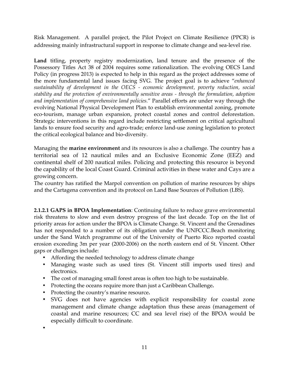Risk Management. A parallel project, the Pilot Project on Climate Resilience (PPCR) is addressing mainly infrastructural support in response to climate change and sea-level rise.

**Land** titling, property registry modernization, land tenure and the presence of the Possessory Titles Act 38 of 2004 requires some rationalization. The evolving OECS Land Policy (in progress 2013) is expected to help in this regard as the project addresses some of the more fundamental land issues facing SVG. The project goal is to achieve "*enhanced sustainability of development in the OECS - economic development, poverty reduction, social stability and the protection of environmentally sensitive areas - through the formulation, adoption and implementation of comprehensive land policies*." Parallel efforts are under way through the evolving National Physical Development Plan to establish environmental zoning, promote eco-tourism, manage urban expansion, protect coastal zones and control deforestation. Strategic interventions in this regard include restricting settlement on critical agricultural lands to ensure food security and agro-trade; enforce land-use zoning legislation to protect the critical ecological balance and bio-diversity.

Managing the **marine environment** and its resources is also a challenge. The country has a territorial sea of 12 nautical miles and an Exclusive Economic Zone (EEZ) and continental shelf of 200 nautical miles. Policing and protecting this resource is beyond the capability of the local Coast Guard. Criminal activities in these water and Cays are a growing concern.

The country has ratified the Marpol convention on pollution of marine resources by ships and the Cartagena convention and its protocol on Land Base Sources of Pollution (LBS).

**2.1.2.1 GAPS in BPOA Implementation**: Continuing failure to reduce grave environmental risk threatens to slow and even destroy progress of the last decade. Top on the list of priority areas for action under the BPOA is Climate Change. St. Vincent and the Grenadines has not responded to a number of its obligation under the UNFCCC.Beach monitoring under the Sand Watch programme out of the University of Puerto Rico reported coastal erosion exceeding 3m per year (2000-2006) on the north eastern end of St. Vincent. Other gaps or challenges include:

- Affording the needed technology to address climate change
- Managing waste such as used tires (St. Vincent still imports used tires) and electronics.
- The cost of managing small forest areas is often too high to be sustainable.
- Protecting the oceans require more than just a Caribbean Challenge**.**
- Protecting the country's marine resource**.**
- SVG does not have agencies with explicit responsibility for coastal zone management and climate change adaptation thus these areas (management of coastal and marine resources; CC and sea level rise) of the BPOA would be especially difficult to coordinate.

•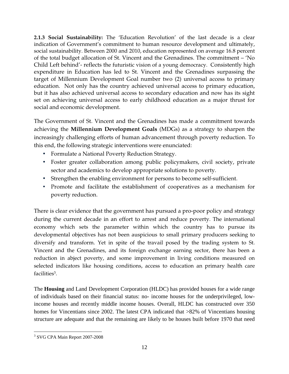**2.1.3 Social Sustainability:** The 'Education Revolution' of the last decade is a clear indication of Government's commitment to human resource development and ultimately, social sustainability. Between 2000 and 2010, education represented on average 16.8 percent of the total budget allocation of St. Vincent and the Grenadines. The commitment – 'No Child Left behind'- reflects the futuristic vision of a young democracy. Consistently high expenditure in Education has led to St. Vincent and the Grenadines surpassing the target of Millennium Development Goal number two (2) universal access to primary education. Not only has the country achieved universal access to primary education, but it has also achieved universal access to secondary education and now has its sight set on achieving universal access to early childhood education as a major thrust for social and economic development.

The Government of St. Vincent and the Grenadines has made a commitment towards achieving the **Millennium Development Goals** (MDGs) as a strategy to sharpen the increasingly challenging efforts of human advancement through poverty reduction. To this end, the following strategic interventions were enunciated:

- Formulate a National Poverty Reduction Strategy.
- Foster greater collaboration among public policymakers, civil society, private sector and academics to develop appropriate solutions to poverty.
- Strengthen the enabling environment for persons to become self-sufficient.
- Promote and facilitate the establishment of cooperatives as a mechanism for poverty reduction.

There is clear evidence that the government has pursued a pro-poor policy and strategy during the current decade in an effort to arrest and reduce poverty. The international economy which sets the parameter within which the country has to pursue its developmental objectives has not been auspicious to small primary producers seeking to diversify and transform. Yet in spite of the travail posed by the trading system to St. Vincent and the Grenadines, and its foreign exchange earning sector, there has been a reduction in abject poverty, and some improvement in living conditions measured on selected indicators like housing conditions, access to education an primary health care facilities<sup>3</sup>.

The **Housing** and Land Development Corporation (HLDC) has provided houses for a wide range of individuals based on their financial status: no- income houses for the underprivileged, lowincome houses and recently middle income houses. Overall, HLDC has constructed over 350 homes for Vincentians since 2002. The latest CPA indicated that >82% of Vincentians housing structure are adequate and that the remaining are likely to be houses built before 1970 that need

<sup>&</sup>lt;u>.</u> 3 SVG CPA Main Report 2007-2008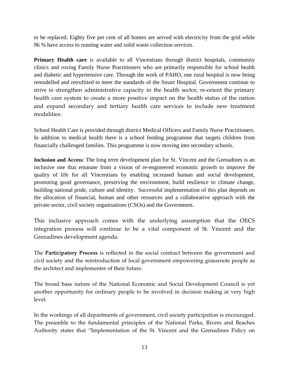to be replaced. Eighty five per cent of all homes are served with electricity from the grid while 96 % have access to running water and solid waste collection services.

**Primary Health care** is available to all Vincentians through district hospitals, community clinics and roving Family Nurse Practitioners who are primarily responsible for school health and diabetic and hypertensive care. Through the work of PAHO, one rural hospital is now being remodelled and retrofitted to meet the standards of the Smart Hospital. Government continue to strive to strengthen administrative capacity in the health sector, re-orient the primary health care system to create a more positive impact on the health status of the nation and expand secondary and tertiary health care services to include new treatment modalities.

School Health Care is provided through district Medical Officers and Family Nurse Practitioners. In addition to medical health there is a school feeding programme that targets children from financially challenged families. This programme is now moving into secondary schools.

**Inclusion and Access**: The long term development plan for St. Vincent and the Grenadines is an inclusive one that emanate from a vision of re-engineered economic growth to improve the quality of life for all Vincentians by enabling increased human and social development, promoting good governance, preserving the environment, build resilience to climate change, building national pride, culture and identity. Successful implementation of this plan depends on the allocation of financial, human and other resources and a collaborative approach with the private sector, civil society organisations (CSOs) and the Government.

This inclusive approach comes with the underlying assumption that the OECS integration process will continue to be a vital component of St. Vincent and the Grenadines development agenda.

The **Participatory Process** is reflected in the social contract between the government and civil society and the reintroduction of local government empowering grassroots people as the architect and implementer of their future.

The broad base nature of the National Economic and Social Development Council is yet another opportunity for ordinary people to be involved in decision making at very high level.

In the workings of all departments of government, civil society participation is encouraged. The preamble to the fundamental principles of the National Parks, Rivers and Beaches Authority states that "Implementation of the St. Vincent and the Grenadines Policy on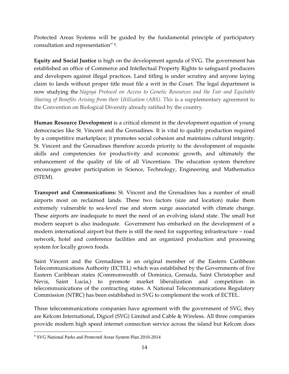Protected Areas Systems will be guided by the fundamental principle of participatory consultation and representation"<sup>4</sup> .

**Equity and Social Justice** is high on the development agenda of SVG. The government has established an office of Commerce and Intellectual Property Rights to safeguard producers and developers against illegal practices. Land titling is under scrutiny and anyone laying claim to lands without proper title must file a writ in the Court. The legal department is now studying the *Nagoya Protocol on Access to Genetic Resources and the Fair and Equitable Sharing of Benefits Arising from their Utilization (ABS). This is a supplementary agreement to* the Convention on Biological Diversity already ratified by the country.

**Human Resource Development** is a critical element in the development equation of young democracies like St. Vincent and the Grenadines. It is vital to quality production required by a competitive marketplace; it promotes social cohesion and maintains cultural integrity. St. Vincent and the Grenadines therefore accords priority to the development of requisite skills and competencies for productivity and economic growth, and ultimately the enhancement of the quality of life of all Vincentians. The education system therefore encourages greater participation in Science, Technology, Engineering and Mathematics (STEM).

**Transport and Communications:** St. Vincent and the Grenadines has a number of small airports most on reclaimed lands. These two factors (size and location) make them extremely vulnerable to sea-level rise and storm surge associated with climate change. These airports are inadequate to meet the need of an evolving island state. The small but modern seaport is also inadequate. Government has embarked on the development of a modern international airport but there is still the need for supporting infrastructure – road network, hotel and conference facilities and an organized production and processing system for locally grown foods.

Saint Vincent and the Grenadines is an original member of the Eastern Caribbean Telecommunications Authority (ECTEL) which was established by the Governments of five Eastern Caribbean states (Commonwealth of Dominica, Grenada, Saint Christopher and Nevis, Saint Lucia,) to promote market liberalization and competition in telecommunications of the contracting states. A National Telecommunications Regulatory Commission (NTRC) has been established in SVG to complement the work of ECTEL.

Three telecommunications companies have agreement with the government of SVG; they are Kelcom International, Digicel (SVG) Limited and Cable & Wireless. All three companies provide modern high speed internet connection service across the island but Kelcom does

<sup>&</sup>lt;u>.</u> 4 SVG National Parks and Protected Areas System Plan 2010-2014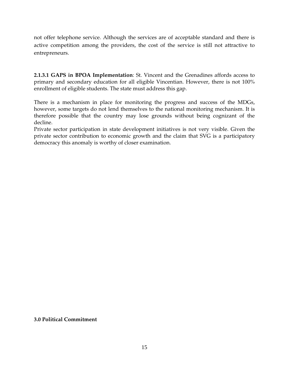not offer telephone service. Although the services are of acceptable standard and there is active competition among the providers, the cost of the service is still not attractive to entrepreneurs.

**2.1.3.1 GAPS in BPOA Implementation**: St. Vincent and the Grenadines affords access to primary and secondary education for all eligible Vincentian. However, there is not 100% enrollment of eligible students. The state must address this gap.

There is a mechanism in place for monitoring the progress and success of the MDGs, however, some targets do not lend themselves to the national monitoring mechanism. It is therefore possible that the country may lose grounds without being cognizant of the decline.

Private sector participation in state development initiatives is not very visible. Given the private sector contribution to economic growth and the claim that SVG is a participatory democracy this anomaly is worthy of closer examination.

**3.0 Political Commitment**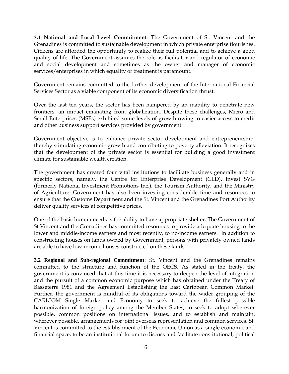**3.1 National and Local Level Commitment**: The Government of St. Vincent and the Grenadines is committed to sustainable development in which private enterprise flourishes. Citizens are afforded the opportunity to realize their full potential and to achieve a good quality of life. The Government assumes the role as facilitator and regulator of economic and social development and sometimes as the owner and manager of economic services/enterprises in which equality of treatment is paramount.

Government remains committed to the further development of the International Financial Services Sector as a viable component of its economic diversification thrust.

Over the last ten years, the sector has been hampered by an inability to penetrate new frontiers, an impact emanating from globalization. Despite these challenges, Micro and Small Enterprises (MSEs) exhibited some levels of growth owing to easier access to credit and other business support services provided by government.

Government objective is to enhance private sector development and entrepreneurship, thereby stimulating economic growth and contributing to poverty alleviation. It recognizes that the development of the private sector is essential for building a good investment climate for sustainable wealth creation.

The government has created four vital institutions to facilitate business generally and in specific sectors, namely, the Centre for Enterprise Development (CED), Invest SVG (formerly National Investment Promotions Inc.), the Tourism Authority, and the Ministry of Agriculture. Government has also been investing considerable time and resources to ensure that the Customs Department and the St. Vincent and the Grenadines Port Authority deliver quality services at competitive prices.

One of the basic human needs is the ability to have appropriate shelter. The Government of St Vincent and the Grenadines has committed resources to provide adequate housing to the lower and middle-income earners and most recently, to no-income earners. In addition to constructing houses on lands owned by Government, persons with privately owned lands are able to have low-income houses constructed on these lands.

**3.2 Regional and Sub-regional Commitment**: St. Vincent and the Grenadines remains committed to the structure and function of the OECS. As stated in the treaty, the government is convinced that at this time it is necessary to deepen the level of integration and the pursuit of a common economic purpose which has obtained under the Treaty of Basseterre 1981 and the Agreement Establishing the East Caribbean Common Market. Further, the government is mindful of its obligations toward the wider grouping of the CARICOM Single Market and Economy to seek to achieve the fullest possible harmonization of foreign policy among the Member States*,* to seek to adopt wherever possible, common positions on international issues*,* and to establish and maintain, wherever possible, arrangements for joint overseas representation and common services. St. Vincent is committed to the establishment of the Economic Union as a single economic and financial space; to be an institutional forum to discuss and facilitate constitutional, political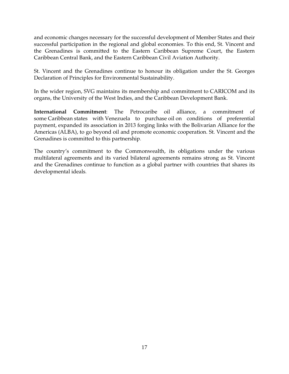and economic changes necessary for the successful development of Member States and their successful participation in the regional and global economies. To this end, St. Vincent and the Grenadines is committed to the Eastern Caribbean Supreme Court, the Eastern Caribbean Central Bank, and the Eastern Caribbean Civil Aviation Authority.

St. Vincent and the Grenadines continue to honour its obligation under the St. Georges Declaration of Principles for Environmental Sustainability.

In the wider region, SVG maintains its membership and commitment to CARICOM and its organs, the University of the West Indies, and the Caribbean Development Bank.

**International Commitment**: The Petrocaribe oil alliance, a commitment of some Caribbean states with Venezuela to purchase oil on conditions of preferential payment, expanded its association in 2013 forging links with the Bolivarian Alliance for the Americas (ALBA), to go beyond oil and promote economic cooperation. St. Vincent and the Grenadines is committed to this partnership.

The country's commitment to the Commonwealth, its obligations under the various multilateral agreements and its varied bilateral agreements remains strong as St. Vincent and the Grenadines continue to function as a global partner with countries that shares its developmental ideals.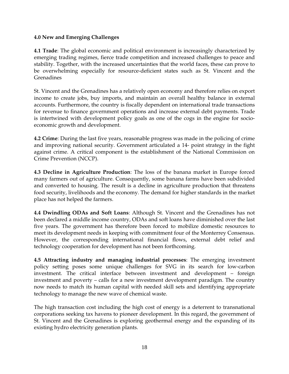## **4.0 New and Emerging Challenges**

**4.1 Trade**: The global economic and political environment is increasingly characterized by emerging trading regimes, fierce trade competition and increased challenges to peace and stability. Together, with the increased uncertainties that the world faces, these can prove to be overwhelming especially for resource-deficient states such as St. Vincent and the Grenadines

St. Vincent and the Grenadines has a relatively open economy and therefore relies on export income to create jobs, buy imports, and maintain an overall healthy balance in external accounts. Furthermore, the country is fiscally dependent on international trade transactions for revenue to finance government operations and increase external debt payments. Trade is intertwined with development policy goals as one of the cogs in the engine for socioeconomic growth and development.

**4.2 Crime**: During the last five years, reasonable progress was made in the policing of crime and improving national security. Government articulated a 14- point strategy in the fight against crime. A critical component is the establishment of the National Commission on Crime Prevention (NCCP).

**4.3 Decline in Agriculture Production**: The loss of the banana market in Europe forced many farmers out of agriculture. Consequently, some banana farms have been subdivided and converted to housing. The result is a decline in agriculture production that threatens food security, livelihoods and the economy. The demand for higher standards in the market place has not helped the farmers.

**4.4 Dwindling ODAs and Soft Loans**: Although St. Vincent and the Grenadines has not been declared a middle income country, ODAs and soft loans have diminished over the last five years. The government has therefore been forced to mobilize domestic resources to meet its development needs in keeping with commitment four of the Monterrey Consensus. However, the corresponding international financial flows, external debt relief and technology cooperation for development has not been forthcoming.

**4.5 Attracting industry and managing industrial processes**: The emerging investment policy setting poses some unique challenges for SVG in its search for low-carbon investment. The critical interface between investment and development – foreign investment and poverty – calls for a new investment development paradigm. The country now needs to match its human capital with needed skill sets and identifying appropriate technology to manage the new wave of chemical waste.

The high transaction cost including the high cost of energy is a deterrent to transnational corporations seeking tax havens to pioneer development. In this regard, the government of St. Vincent and the Grenadines is exploring geothermal energy and the expanding of its existing hydro electricity generation plants.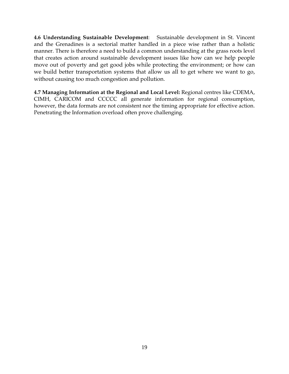**4.6 Understanding Sustainable Development**: Sustainable development in St. Vincent and the Grenadines is a sectorial matter handled in a piece wise rather than a holistic manner. There is therefore a need to build a common understanding at the grass roots level that creates action around sustainable development issues like how can we help people move out of poverty and get good jobs while protecting the environment; or how can we build better transportation systems that allow us all to get where we want to go, without causing too much congestion and pollution.

**4.7 Managing Information at the Regional and Local Level:** Regional centres like CDEMA, CIMH, CARICOM and CCCCC all generate information for regional consumption, however, the data formats are not consistent nor the timing appropriate for effective action. Penetrating the Information overload often prove challenging.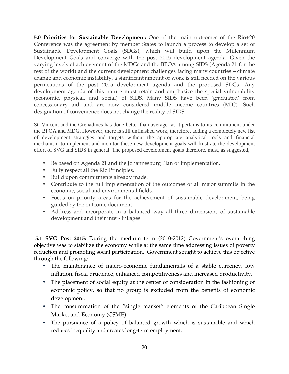**5.0 Priorities for Sustainable Development:** One of the main outcomes of the Rio+20 Conference was the agreement by member States to launch a process to develop a set of Sustainable Development Goals (SDGs), which will build upon the Millennium Development Goals and converge with the post 2015 development agenda. Given the varying levels of achievement of the MDGs and the BPOA among SIDS (Agenda 21 for the rest of the world) and the current development challenges facing many countries – climate change and economic instability, a significant amount of work is still needed on the various permeations of the post 2015 development agenda and the proposed SDGs. Any development agenda of this nature must retain and emphasize the special vulnerability (economic, physical, and social) of SIDS. Many SIDS have been 'graduated' from concessionary aid and are now considered middle income countries (MIC). Such designation of convenience does not change the reality of SIDS.

St. Vincent and the Grenadines has done better than average as it pertains to its commitment under the BPOA and MDG. However, there is still unfinished work, therefore, adding a completely new list of development strategies and targets without the appropriate analytical tools and financial mechanism to implement and monitor these new development goals will frustrate the development effort of SVG and SIDS in general. The proposed development goals therefore, must, as suggested,

- Be based on Agenda 21 and the Johannesburg Plan of Implementation.
- Fully respect all the Rio Principles.
- Build upon commitments already made.
- Contribute to the full implementation of the outcomes of all major summits in the economic, social and environmental fields.
- Focus on priority areas for the achievement of sustainable development, being guided by the outcome document.
- Address and incorporate in a balanced way all three dimensions of sustainable development and their inter-linkages.

 **5.1 SVG Post 2015:** During the medium term (2010-2012) Government's overarching objective was to stabilize the economy while at the same time addressing issues of poverty reduction and promoting social participation. Government sought to achieve this objective through the following:

- The maintenance of macro-economic fundamentals of a stable currency, low inflation, fiscal prudence, enhanced competitiveness and increased productivity.
- The placement of social equity at the center of consideration in the fashioning of economic policy, so that no group is excluded from the benefits of economic development.
- The consummation of the "single market" elements of the Caribbean Single Market and Economy (CSME).
- The pursuance of a policy of balanced growth which is sustainable and which reduces inequality and creates long-term employment.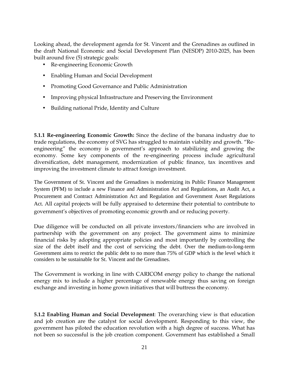Looking ahead, the development agenda for St. Vincent and the Grenadines as outlined in the draft National Economic and Social Development Plan (NESDP) 2010-2025, has been built around five (5) strategic goals:

- Re-engineering Economic Growth
- Enabling Human and Social Development
- Promoting Good Governance and Public Administration
- Improving physical Infrastructure and Preserving the Environment
- Building national Pride, Identity and Culture

**5.1.1 Re-engineering Economic Growth:** Since the decline of the banana industry due to trade regulations, the economy of SVG has struggled to maintain viability and growth. "Reengineering" the economy is government's approach to stabilizing and growing the economy. Some key components of the re-engineering process include agricultural diversification, debt management, modernization of public finance, tax incentives and improving the investment climate to attract foreign investment.

The Government of St. Vincent and the Grenadines is modernizing its Public Finance Management System (PFM) to include a new Finance and Administration Act and Regulations, an Audit Act, a Procurement and Contract Administration Act and Regulation and Government Asset Regulations Act. All capital projects will be fully appraised to determine their potential to contribute to government's objectives of promoting economic growth and or reducing poverty.

Due diligence will be conducted on all private investors/financiers who are involved in partnership with the government on any project. The government aims to minimize financial risks by adopting appropriate policies and most importantly by controlling the size of the debt itself and the cost of servicing the debt. Over the medium-to-long-term Government aims to restrict the public debt to no more than 75% of GDP which is the level which it considers to be sustainable for St. Vincent and the Grenadines.

The Government is working in line with CARICOM energy policy to change the national energy mix to include a higher percentage of renewable energy thus saving on foreign exchange and investing in home grown initiatives that will buttress the economy.

**5.1.2 Enabling Human and Social Development**: The overarching view is that education and job creation are the catalyst for social development. Responding to this view, the government has piloted the education revolution with a high degree of success. What has not been so successful is the job creation component. Government has established a Small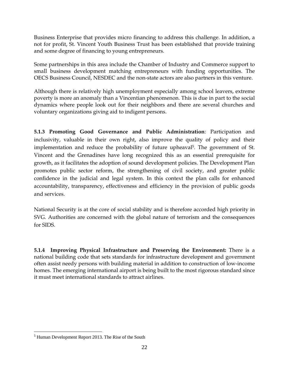Business Enterprise that provides micro financing to address this challenge. In addition, a not for profit, St. Vincent Youth Business Trust has been established that provide training and some degree of financing to young entrepreneurs.

Some partnerships in this area include the Chamber of Industry and Commerce support to small business development matching entrepreneurs with funding opportunities. The OECS Business Council, NESDEC and the non-state actors are also partners in this venture.

Although there is relatively high unemployment especially among school leavers, extreme poverty is more an anomaly than a Vincentian phenomenon. This is due in part to the social dynamics where people look out for their neighbors and there are several churches and voluntary organizations giving aid to indigent persons.

**5.1.3 Promoting Good Governance and Public Administration**: Participation and inclusivity, valuable in their own right, also improve the quality of policy and their implementation and reduce the probability of future upheaval<sup>5</sup>. The government of St. Vincent and the Grenadines have long recognized this as an essential prerequisite for growth, as it facilitates the adoption of sound development policies. The Development Plan promotes public sector reform, the strengthening of civil society, and greater public confidence in the judicial and legal system. In this context the plan calls for enhanced accountability, transparency, effectiveness and efficiency in the provision of public goods and services.

National Security is at the core of social stability and is therefore accorded high priority in SVG. Authorities are concerned with the global nature of terrorism and the consequences for SIDS.

**5.1.4 Improving Physical Infrastructure and Preserving the Environment:** There is a national building code that sets standards for infrastructure development and government often assist needy persons with building material in addition to construction of low-income homes. The emerging international airport is being built to the most rigorous standard since it must meet international standards to attract airlines.

<sup>&</sup>lt;u>.</u> <sup>5</sup> Human Development Report 2013. The Rise of the South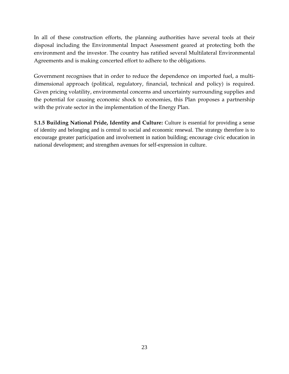In all of these construction efforts, the planning authorities have several tools at their disposal including the Environmental Impact Assessment geared at protecting both the environment and the investor. The country has ratified several Multilateral Environmental Agreements and is making concerted effort to adhere to the obligations.

Government recognises that in order to reduce the dependence on imported fuel, a multidimensional approach (political, regulatory, financial, technical and policy) is required. Given pricing volatility, environmental concerns and uncertainty surrounding supplies and the potential for causing economic shock to economies, this Plan proposes a partnership with the private sector in the implementation of the Energy Plan.

**5.1.5 Building National Pride, Identity and Culture:** Culture is essential for providing a sense of identity and belonging and is central to social and economic renewal. The strategy therefore is to encourage greater participation and involvement in nation building; encourage civic education in national development; and strengthen avenues for self-expression in culture.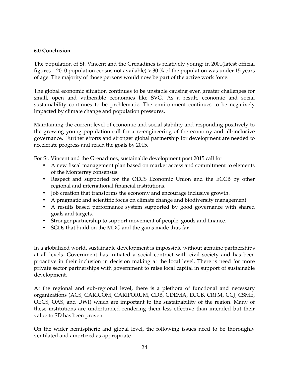## **6.0 Conclusion**

**The** population of St. Vincent and the Grenadines is relatively young: in 2001(latest official figures – 2010 population census not available)  $> 30\%$  of the population was under 15 years of age. The majority of those persons would now be part of the active work force.

The global economic situation continues to be unstable causing even greater challenges for small, open and vulnerable economies like SVG. As a result, economic and social sustainability continues to be problematic. The environment continues to be negatively impacted by climate change and population pressures.

Maintaining the current level of economic and social stability and responding positively to the growing young population call for a re-engineering of the economy and all-inclusive governance. Further efforts and stronger global partnership for development are needed to accelerate progress and reach the goals by 2015.

For St. Vincent and the Grenadines, sustainable development post 2015 call for:

- A new fiscal management plan based on market access and commitment to elements of the Monterrey consensus.
- Respect and supported for the OECS Economic Union and the ECCB by other regional and international financial institutions.
- Job creation that transforms the economy and encourage inclusive growth.
- A pragmatic and scientific focus on climate change and biodiversity management.
- A results based performance system supported by good governance with shared goals and targets.
- Stronger partnership to support movement of people, goods and finance.
- SGDs that build on the MDG and the gains made thus far.

In a globalized world, sustainable development is impossible without genuine partnerships at all levels. Government has initiated a social contract with civil society and has been proactive in their inclusion in decision making at the local level. There is need for more private sector partnerships with government to raise local capital in support of sustainable development.

At the regional and sub-regional level, there is a plethora of functional and necessary organizations (ACS, CARICOM, CARIFORUM, CDB, CDEMA, ECCB, CRFM, CCJ, CSME, OECS, OAS, and UWI) which are important to the sustainability of the region. Many of these institutions are underfunded rendering them less effective than intended but their value to SD has been proven.

On the wider hemispheric and global level, the following issues need to be thoroughly ventilated and amortized as appropriate.